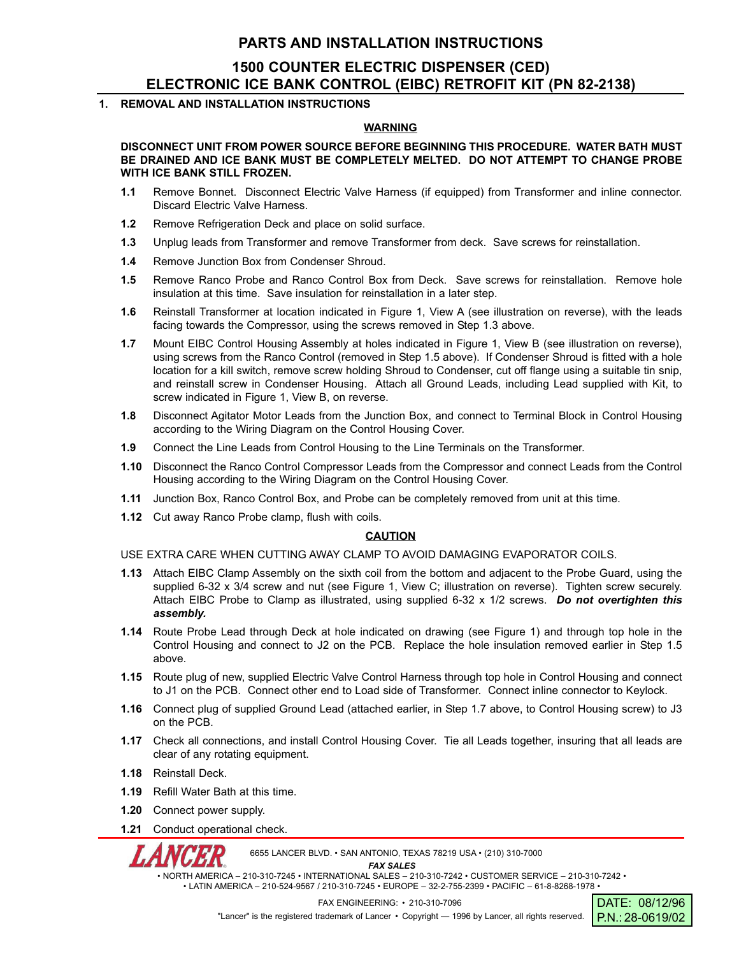## **PARTS AND INSTALLATION INSTRUCTIONS**

# **1500 COUNTER ELECTRIC DISPENSER (CED) ELECTRONIC ICE BANK CONTROL (EIBC) RETROFIT KIT (PN 82-2138)**

### **1. REMOVAL AND INSTALLATION INSTRUCTIONS**

#### **WARNING**

**DISCONNECT UNIT FROM POWER SOURCE BEFORE BEGINNING THIS PROCEDURE. WATER BATH MUST BE DRAINED AND ICE BANK MUST BE COMPLETELY MELTED. DO NOT ATTEMPT TO CHANGE PROBE WITH ICE BANK STILL FROZEN.**

- **1.1** Remove Bonnet. Disconnect Electric Valve Harness (if equipped) from Transformer and inline connector. Discard Electric Valve Harness.
- **1.2** Remove Refrigeration Deck and place on solid surface.
- **1.3** Unplug leads from Transformer and remove Transformer from deck. Save screws for reinstallation.
- **1.4** Remove Junction Box from Condenser Shroud.
- **1.5** Remove Ranco Probe and Ranco Control Box from Deck. Save screws for reinstallation. Remove hole insulation at this time. Save insulation for reinstallation in a later step.
- **1.6** Reinstall Transformer at location indicated in Figure 1, View A (see illustration on reverse), with the leads facing towards the Compressor, using the screws removed in Step 1.3 above.
- **1.7** Mount EIBC Control Housing Assembly at holes indicated in Figure 1, View B (see illustration on reverse), using screws from the Ranco Control (removed in Step 1.5 above). If Condenser Shroud is fitted with a hole location for a kill switch, remove screw holding Shroud to Condenser, cut off flange using a suitable tin snip, and reinstall screw in Condenser Housing. Attach all Ground Leads, including Lead supplied with Kit, to screw indicated in Figure 1, View B, on reverse.
- **1.8** Disconnect Agitator Motor Leads from the Junction Box, and connect to Terminal Block in Control Housing according to the Wiring Diagram on the Control Housing Cover.
- **1.9** Connect the Line Leads from Control Housing to the Line Terminals on the Transformer.
- **1.10** Disconnect the Ranco Control Compressor Leads from the Compressor and connect Leads from the Control Housing according to the Wiring Diagram on the Control Housing Cover.
- **1.11** Junction Box, Ranco Control Box, and Probe can be completely removed from unit at this time.
- **1.12** Cut away Ranco Probe clamp, flush with coils.

#### **CAUTION**

USE EXTRA CARE WHEN CUTTING AWAY CLAMP TO AVOID DAMAGING EVAPORATOR COILS.

- **1.13** Attach EIBC Clamp Assembly on the sixth coil from the bottom and adjacent to the Probe Guard, using the supplied 6-32 x 3/4 screw and nut (see Figure 1, View C; illustration on reverse). Tighten screw securely. Attach EIBC Probe to Clamp as illustrated, using supplied 6-32 x 1/2 screws. *Do not overtighten this assembly.*
- **1.14** Route Probe Lead through Deck at hole indicated on drawing (see Figure 1) and through top hole in the Control Housing and connect to J2 on the PCB. Replace the hole insulation removed earlier in Step 1.5 above.
- **1.15** Route plug of new, supplied Electric Valve Control Harness through top hole in Control Housing and connect to J1 on the PCB. Connect other end to Load side of Transformer. Connect inline connector to Keylock.
- **1.16** Connect plug of supplied Ground Lead (attached earlier, in Step 1.7 above, to Control Housing screw) to J3 on the PCB.
- **1.17** Check all connections, and install Control Housing Cover. Tie all Leads together, insuring that all leads are clear of any rotating equipment.
- **1.18** Reinstall Deck.
- **1.19** Refill Water Bath at this time.
- **1.20** Connect power supply.
- **1.21** Conduct operational check.

*CER* 6655 LANCER BLVD. • SAN ANTONIO, TEXAS 78219 USA • (210) 310-7000

*FAX SALES*

• NORTH AMERICA – 210-310-7245 • INTERNATIONAL SALES – 210-310-7242 • CUSTOMER SERVICE – 210-310-7242 • • LATIN AMERICA – 210-524-9567 / 210-310-7245 • EUROPE – 32-2-755-2399 • PACIFIC – 61-8-8268-1978 •

> DATE: 08/12/96 P.N.: 28-0619/02 FAX ENGINEERING: • 210-310-7096 "Lancer" is the registered trademark of Lancer • Copyright - 1996 by Lancer, all rights reserved.